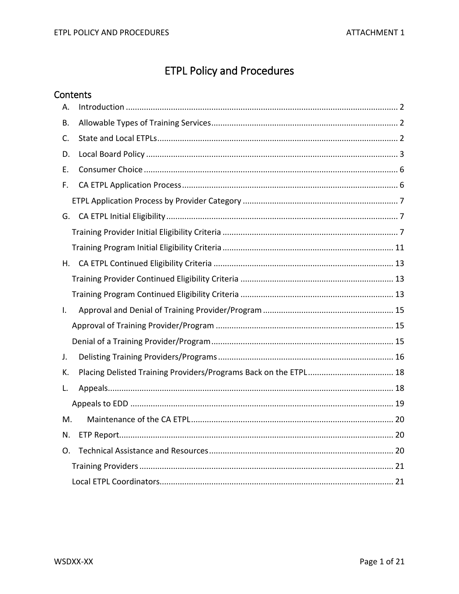# **ETPL Policy and Procedures**

| Contents |    |
|----------|----|
| Α.       |    |
| Β.       |    |
| C.       |    |
| D.       |    |
| Ε.       |    |
| F.       |    |
|          |    |
| G.       |    |
|          |    |
|          |    |
| Η.       |    |
|          |    |
|          |    |
| I.       |    |
|          |    |
|          |    |
| J.       |    |
| К.       |    |
| L.       |    |
|          |    |
| M.       |    |
| N.       |    |
| O.       | 20 |
|          |    |
|          |    |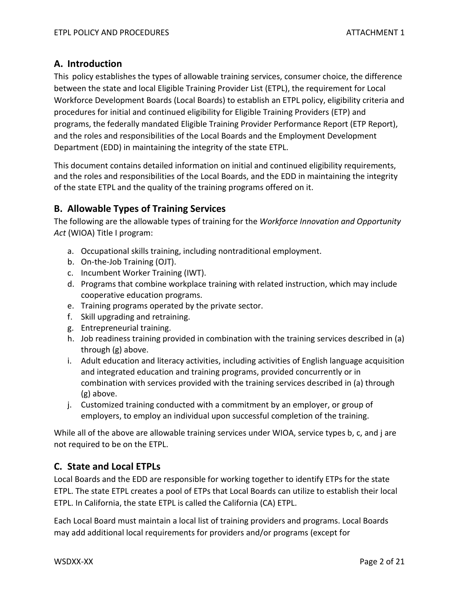# <span id="page-1-0"></span>**A. Introduction**

This policy establishes the types of allowable training services, consumer choice, the difference between the state and local Eligible Training Provider List (ETPL), the requirement for Local Workforce Development Boards (Local Boards) to establish an ETPL policy, eligibility criteria and procedures for initial and continued eligibility for Eligible Training Providers (ETP) and programs, the federally mandated Eligible Training Provider Performance Report (ETP Report), and the roles and responsibilities of the Local Boards and the Employment Development Department (EDD) in maintaining the integrity of the state ETPL.

This document contains detailed information on initial and continued eligibility requirements, and the roles and responsibilities of the Local Boards, and the EDD in maintaining the integrity of the state ETPL and the quality of the training programs offered on it.

# <span id="page-1-1"></span>**B. Allowable Types of Training Services**

The following are the allowable types of training for the *Workforce Innovation and Opportunity Act* (WIOA) Title I program:

- a. Occupational skills training, including nontraditional employment.
- b. On-the-Job Training (OJT).
- c. Incumbent Worker Training (IWT).
- d. Programs that combine workplace training with related instruction, which may include cooperative education programs.
- e. Training programs operated by the private sector.
- f. Skill upgrading and retraining.
- g. Entrepreneurial training.
- h. Job readiness training provided in combination with the training services described in (a) through (g) above.
- i. Adult education and literacy activities, including activities of English language acquisition and integrated education and training programs, provided concurrently or in combination with services provided with the training services described in (a) through (g) above.
- j. Customized training conducted with a commitment by an employer, or group of employers, to employ an individual upon successful completion of the training.

While all of the above are allowable training services under WIOA, service types b, c, and j are not required to be on the ETPL.

# <span id="page-1-2"></span>**C. State and Local ETPLs**

Local Boards and the EDD are responsible for working together to identify ETPs for the state ETPL. The state ETPL creates a pool of ETPs that Local Boards can utilize to establish their local ETPL. In California, the state ETPL is called the California (CA) ETPL.

Each Local Board must maintain a local list of training providers and programs. Local Boards may add additional local requirements for providers and/or programs (except for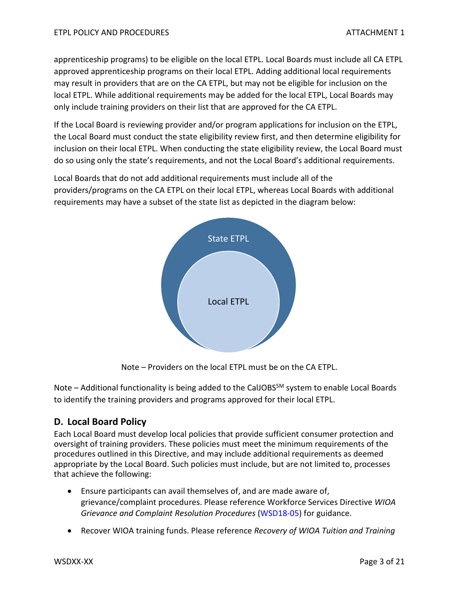apprenticeship programs) to be eligible on the local ETPL. Local Boards must include all CA ETPL approved apprenticeship programs on their local ETPL. Adding additional local requirements may result in providers that are on the CA ETPL, but may not be eligible for inclusion on the local ETPL. While additional requirements may be added for the local ETPL, Local Boards may only include training providers on their list that are approved for the CA ETPL.

If the Local Board is reviewing provider and/or program applications for inclusion on the ETPL, the Local Board must conduct the state eligibility review first, and then determine eligibility for inclusion on their local ETPL. When conducting the state eligibility review, the Local Board must do so using only the state's requirements, and not the Local Board's additional requirements.

Local Boards that do not add additional requirements must include all of the providers/programs on the CA ETPL on their local ETPL, whereas Local Boards with additional requirements may have a subset of the state list as depicted in the diagram below:



Note – Providers on the local ETPL must be on the CA ETPL.

Note – Additional functionality is being added to the CalJOBS<sup>SM</sup> system to enable Local Boards to identify the training providers and programs approved for their local ETPL.

# <span id="page-2-0"></span>**D. Local Board Policy**

Each Local Board must develop local policies that provide sufficient consumer protection and oversight of training providers. These policies must meet the minimum requirements of the procedures outlined in this Directive, and may include additional requirements as deemed appropriate by the Local Board. Such policies must include, but are not limited to, processes that achieve the following:

- Ensure participants can avail themselves of, and are made aware of, grievance/complaint procedures. Please reference Workforce Services Directive *WIOA Grievance and Complaint Resolution Procedures* [\(WSD18-05\)](https://www.edd.ca.gov/jobs_and_training/Active_Directives.htm) for guidance.
- Recover WIOA training funds. Please reference *Recovery of WIOA Tuition and Training*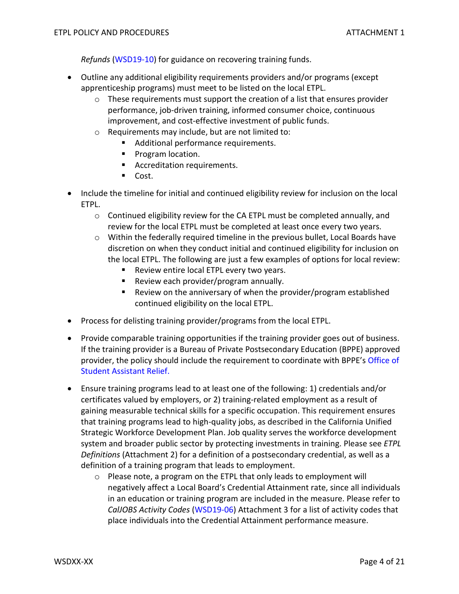*Refunds* [\(WSD19-10\)](https://www.edd.ca.gov/jobs_and_training/Active_Directives.htm) for guidance on recovering training funds.

- Outline any additional eligibility requirements providers and/or programs (except apprenticeship programs) must meet to be listed on the local ETPL.
	- $\circ$  These requirements must support the creation of a list that ensures provider performance, job-driven training, informed consumer choice, continuous improvement, and cost-effective investment of public funds.
	- o Requirements may include, but are not limited to:
		- Additional performance requirements.
		- **Program location.**
		- **Accreditation requirements.**
		- Cost.
- Include the timeline for initial and continued eligibility review for inclusion on the local ETPL.
	- $\circ$  Continued eligibility review for the CA ETPL must be completed annually, and review for the local ETPL must be completed at least once every two years.
	- o Within the federally required timeline in the previous bullet, Local Boards have discretion on when they conduct initial and continued eligibility for inclusion on the local ETPL. The following are just a few examples of options for local review:
		- **Review entire local ETPL every two years.**
		- Review each provider/program annually.
		- **Review on the anniversary of when the provider/program established** continued eligibility on the local ETPL.
- Process for delisting training provider/programs from the local ETPL.
- Provide comparable training opportunities if the training provider goes out of business. If the training provider is a Bureau of Private Postsecondary Education (BPPE) approved provider, the policy should include the requirement to coordinate with BPPE'[s Office of](https://www.osar.bppe.ca.gov/)  [Student Assistant Relief.](https://www.osar.bppe.ca.gov/)
- Ensure training programs lead to at least one of the following: 1) credentials and/or certificates valued by employers, or 2) training-related employment as a result of gaining measurable technical skills for a specific occupation. This requirement ensures that training programs lead to high-quality jobs, as described in the California Unified Strategic Workforce Development Plan. Job quality serves the workforce development system and broader public sector by protecting investments in training. Please see *ETPL Definitions* (Attachment 2) for a definition of a postsecondary credential, as well as a definition of a training program that leads to employment.
	- o Please note, a program on the ETPL that only leads to employment will negatively affect a Local Board's Credential Attainment rate, since all individuals in an education or training program are included in the measure. Please refer to *CalJOBS Activity Codes* [\(WSD19-06\)](https://www.edd.ca.gov/jobs_and_training/Active_Directives.htm) Attachment 3 for a list of activity codes that place individuals into the Credential Attainment performance measure.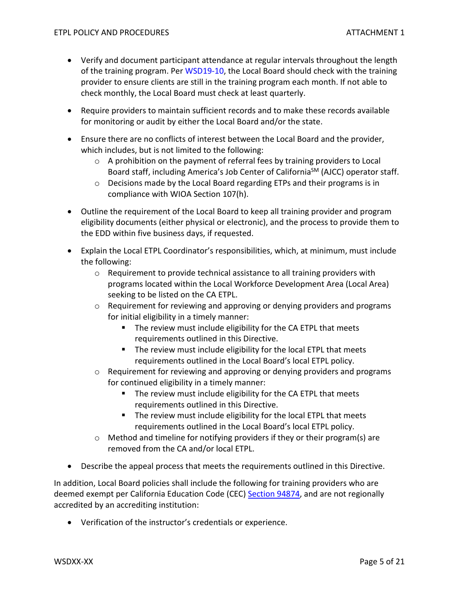- Verify and document participant attendance at regular intervals throughout the length of the training program. Per [WSD19-10,](https://www.edd.ca.gov/jobs_and_training/Active_Directives.htm) the Local Board should check with the training provider to ensure clients are still in the training program each month. If not able to check monthly, the Local Board must check at least quarterly.
- Require providers to maintain sufficient records and to make these records available for monitoring or audit by either the Local Board and/or the state.
- Ensure there are no conflicts of interest between the Local Board and the provider, which includes, but is not limited to the following:
	- o A prohibition on the payment of referral fees by training providers to Local Board staff, including America's Job Center of California<sup>SM</sup> (AJCC) operator staff.
	- $\circ$  Decisions made by the Local Board regarding ETPs and their programs is in compliance with WIOA Section 107(h).
- Outline the requirement of the Local Board to keep all training provider and program eligibility documents (either physical or electronic), and the process to provide them to the EDD within five business days, if requested.
- Explain the Local ETPL Coordinator's responsibilities, which, at minimum, must include the following:
	- $\circ$  Requirement to provide technical assistance to all training providers with programs located within the Local Workforce Development Area (Local Area) seeking to be listed on the CA ETPL.
	- $\circ$  Requirement for reviewing and approving or denying providers and programs for initial eligibility in a timely manner:
		- The review must include eligibility for the CA ETPL that meets requirements outlined in this Directive.
		- The review must include eligibility for the local ETPL that meets requirements outlined in the Local Board's local ETPL policy.
	- $\circ$  Requirement for reviewing and approving or denying providers and programs for continued eligibility in a timely manner:
		- The review must include eligibility for the CA ETPL that meets requirements outlined in this Directive.
		- The review must include eligibility for the local ETPL that meets requirements outlined in the Local Board's local ETPL policy.
	- o Method and timeline for notifying providers if they or their program(s) are removed from the CA and/or local ETPL.
- Describe the appeal process that meets the requirements outlined in this Directive.

In addition, Local Board policies shall include the following for training providers who are deemed exempt per California Education Code (CEC) [Section 94874,](https://leginfo.legislature.ca.gov/faces/codes_displaySection.xhtml?sectionNum=94874.&lawCode=EDC) and are not regionally accredited by an accrediting institution:

• Verification of the instructor's credentials or experience.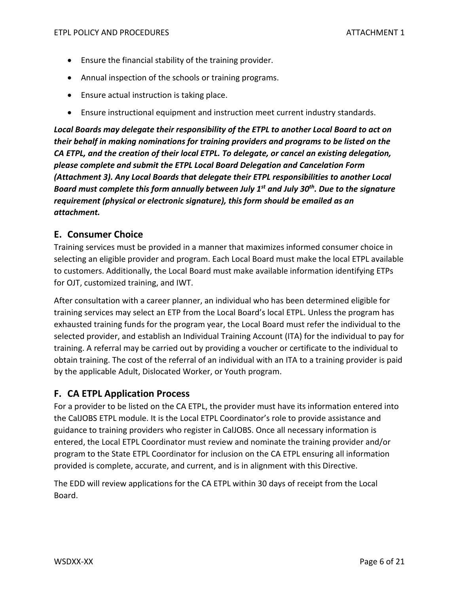- Ensure the financial stability of the training provider.
- Annual inspection of the schools or training programs.
- Ensure actual instruction is taking place.
- Ensure instructional equipment and instruction meet current industry standards.

*Local Boards may delegate their responsibility of the ETPL to another Local Board to act on their behalf in making nominations for training providers and programs to be listed on the CA ETPL, and the creation of their local ETPL. To delegate, or cancel an existing delegation, please complete and submit the ETPL Local Board Delegation and Cancelation Form (Attachment 3). Any Local Boards that delegate their ETPL responsibilities to another Local Board must complete this form annually between July 1st and July 30th. Due to the signature requirement (physical or electronic signature), this form should be emailed as an attachment.*

## <span id="page-5-0"></span>**E. Consumer Choice**

Training services must be provided in a manner that maximizes informed consumer choice in selecting an eligible provider and program. Each Local Board must make the local ETPL available to customers. Additionally, the Local Board must make available information identifying ETPs for OJT, customized training, and IWT.

After consultation with a career planner, an individual who has been determined eligible for training services may select an ETP from the Local Board's local ETPL. Unless the program has exhausted training funds for the program year, the Local Board must refer the individual to the selected provider, and establish an Individual Training Account (ITA) for the individual to pay for training. A referral may be carried out by providing a voucher or certificate to the individual to obtain training. The cost of the referral of an individual with an ITA to a training provider is paid by the applicable Adult, Dislocated Worker, or Youth program.

## <span id="page-5-1"></span>**F. CA ETPL Application Process**

For a provider to be listed on the CA ETPL, the provider must have its information entered into the CalJOBS ETPL module. It is the Local ETPL Coordinator's role to provide assistance and guidance to training providers who register in CalJOBS. Once all necessary information is entered, the Local ETPL Coordinator must review and nominate the training provider and/or program to the State ETPL Coordinator for inclusion on the CA ETPL ensuring all information provided is complete, accurate, and current, and is in alignment with this Directive.

The EDD will review applications for the CA ETPL within 30 days of receipt from the Local Board.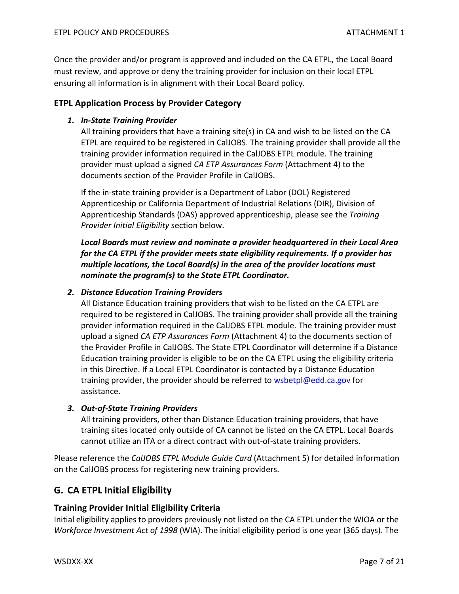Once the provider and/or program is approved and included on the CA ETPL, the Local Board must review, and approve or deny the training provider for inclusion on their local ETPL ensuring all information is in alignment with their Local Board policy.

## <span id="page-6-0"></span>**ETPL Application Process by Provider Category**

#### *1. In-State Training Provider*

All training providers that have a training site(s) in CA and wish to be listed on the CA ETPL are required to be registered in CalJOBS. The training provider shall provide all the training provider information required in the CalJOBS ETPL module. The training provider must upload a signed *CA ETP Assurances Form* (Attachment 4) to the documents section of the Provider Profile in CalJOBS.

If the in-state training provider is a Department of Labor (DOL) Registered Apprenticeship or California Department of Industrial Relations (DIR), Division of Apprenticeship Standards (DAS) approved apprenticeship, please see the *Training Provider Initial Eligibility* section below.

*Local Boards must review and nominate a provider headquartered in their Local Area for the CA ETPL if the provider meets state eligibility requirements. If a provider has multiple locations, the Local Board(s) in the area of the provider locations must nominate the program(s) to the State ETPL Coordinator.* 

#### *2. Distance Education Training Providers*

All Distance Education training providers that wish to be listed on the CA ETPL are required to be registered in CalJOBS. The training provider shall provide all the training provider information required in the CalJOBS ETPL module. The training provider must upload a signed *CA ETP Assurances Form* (Attachment 4) to th[e documents section of](mailto:documents%20section%20of%20the%20Provider)  [the Provider](mailto:documents%20section%20of%20the%20Provider) Profile in CalJOBS. The State ETPL Coordinator will determine if a Distance Education training provider is eligible to be on the CA ETPL using the eligibility criteria in this Directive. If a Local ETPL Coordinator is contacted by a Distance Education training provider, the provider should be referred to [wsbetpl@edd.ca.gov](mailto:wsbetpl@edd.ca.gov) for assistance.

#### *3. Out-of-State Training Providers*

All training providers, other than Distance Education training providers, that have training sites located only outside of CA cannot be listed on the CA ETPL. Local Boards cannot utilize an ITA or a direct contract with out-of-state training providers.

Please reference the *CalJOBS ETPL Module Guide Card* (Attachment 5) for detailed information on the CalJOBS process for registering new training providers.

## <span id="page-6-1"></span>**G. CA ETPL Initial Eligibility**

#### <span id="page-6-2"></span>**Training Provider Initial Eligibility Criteria**

Initial eligibility applies to providers previously not listed on the CA ETPL under the WIOA or the *Workforce Investment Act of 1998* (WIA). The initial eligibility period is one year (365 days). The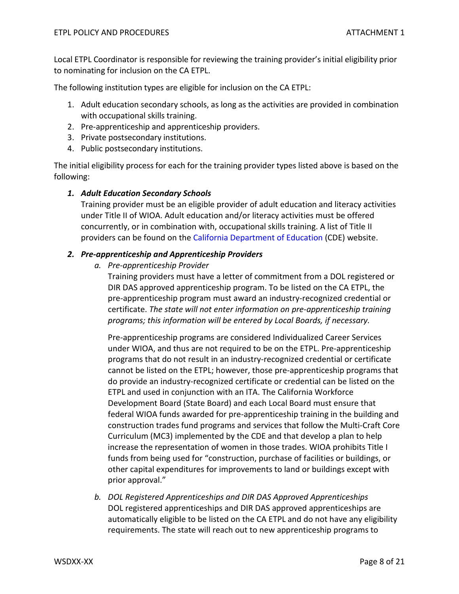Local ETPL Coordinator is responsible for reviewing the training provider's initial eligibility prior to nominating for inclusion on the CA ETPL.

The following institution types are eligible for inclusion on the CA ETPL:

- 1. Adult education secondary schools, as long as the activities are provided in combination with occupational skills training.
- 2. Pre-apprenticeship and apprenticeship providers.
- 3. Private postsecondary institutions.
- 4. Public postsecondary institutions.

The initial eligibility process for each for the training provider types listed above is based on the following:

#### *1. Adult Education Secondary Schools*

Training provider must be an eligible provider of adult education and literacy activities under Title II of WIOA. Adult education and/or literacy activities must be offered concurrently, or in combination with, occupational skills training. A list of Title II providers can be found on th[e California Department of Education](https://www.cde.ca.gov/) (CDE) website.

#### *2. Pre-apprenticeship and Apprenticeship Providers*

*a. Pre-apprenticeship Provider*

Training providers must have a letter of commitment from a DOL registered or DIR DAS approved apprenticeship program. To be listed on the CA ETPL, the pre-apprenticeship program must award an industry-recognized credential or certificate. *The state will not enter information on pre-apprenticeship training programs; this information will be entered by Local Boards, if necessary.*

Pre-apprenticeship programs are considered Individualized Career Services under WIOA, and thus are not required to be on the ETPL. Pre-apprenticeship programs that do not result in an industry-recognized credential or certificate cannot be listed on the ETPL; however, those pre-apprenticeship programs that do provide an industry-recognized certificate or credential can be listed on the ETPL and used in conjunction with an ITA. The California Workforce Development Board (State Board) and each Local Board must ensure that federal WIOA funds awarded for pre-apprenticeship training in the building and construction trades fund programs and services that follow the Multi-Craft Core Curriculum (MC3) implemented by the CDE and that develop a plan to help increase the representation of women in those trades. WIOA prohibits Title I funds from being used for "construction, purchase of facilities or buildings, or other capital expenditures for improvements to land or buildings except with prior approval."

*b. DOL Registered Apprenticeships and DIR DAS Approved Apprenticeships* DOL registered apprenticeships and DIR DAS approved apprenticeships are automatically eligible to be listed on the CA ETPL and do not have any eligibility requirements. The state will reach out to new apprenticeship programs to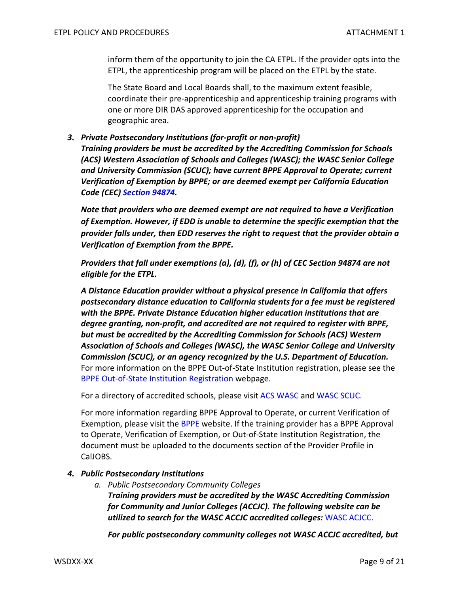inform them of the opportunity to join the CA ETPL. If the provider opts into the ETPL, the apprenticeship program will be placed on the ETPL by the state.

The State Board and Local Boards shall, to the maximum extent feasible, coordinate their pre-apprenticeship and apprenticeship training programs with one or more DIR DAS approved apprenticeship for the occupation and geographic area.

*3. Private Postsecondary Institutions (for-profit or non-profit) Training providers be must be accredited by the Accrediting Commission for Schools (ACS) Western Association of Schools and Colleges (WASC); the WASC Senior College and University Commission (SCUC); have current BPPE Approval to Operate; current Verification of Exemption by BPPE; or are deemed exempt per California Education Code (CEC) [Section 94874.](https://leginfo.legislature.ca.gov/faces/codes_displaySection.xhtml?sectionNum=94874.&lawCode=EDC)* 

*Note that providers who are deemed exempt are not required to have a Verification of Exemption. However, if EDD is unable to determine the specific exemption that the provider falls under, then EDD reserves the right to request that the provider obtain a Verification of Exemption from the BPPE.* 

*Providers that fall under exemptions (a), (d), (f), or (h) of CEC Section 94874 are not eligible for the ETPL.* 

*A Distance Education provider without a physical presence in California that offers postsecondary distance education to California students for a fee must be registered with the BPPE. Private Distance Education higher education institutions that are degree granting, non-profit, and accredited are not required to register with BPPE, but must be accredited by the Accrediting Commission for Schools (ACS) Western Association of Schools and Colleges (WASC), the WASC Senior College and University Commission (SCUC), or an agency recognized by the U.S. Department of Education.* For more information on the BPPE Out-of-State Institution registration, please see the [BPPE Out-of-State Institution Registration](https://www.bppe.ca.gov/schools/outofstate_reg.shtml) webpage.

For a directory of accredited schools, please visit [ACS WASC](https://www.acswasc.org/) and [WASC SCUC.](https://www.wscuc.org/)

For more information regarding BPPE Approval to Operate, or current Verification of Exemption, please visit the [BPPE](https://www.bppe.ca.gov/) website. If the training provider has a BPPE Approval to Operate, Verification of Exemption, or Out-of-State Institution Registration, the document must be uploaded to the documents section of the Provider Profile in CalJOBS.

#### *4. Public Postsecondary Institutions*

*a. Public Postsecondary Community Colleges Training providers must be accredited by the WASC Accrediting Commission for Community and Junior Colleges (ACCJC). The following website can be utilized to search for the WASC ACCJC accredited colleges:* [WASC ACJCC.](https://accjc.org/)

*For public postsecondary community colleges not WASC ACCJC accredited, but*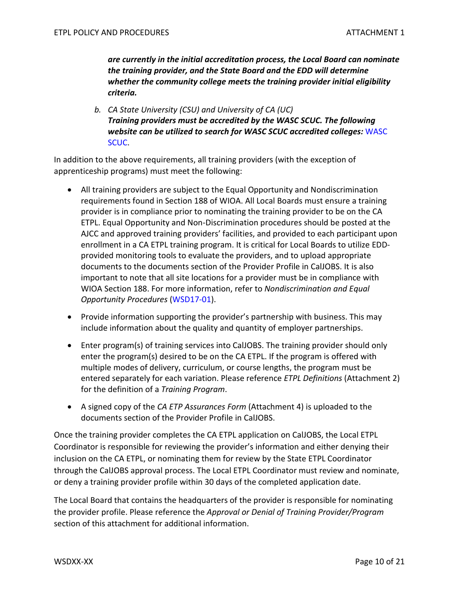*are currently in the initial accreditation process, the Local Board can nominate the training provider, and the State Board and the EDD will determine whether the community college meets the training provider initial eligibility criteria.*

*b. CA State University (CSU) and University of CA (UC) Training providers must be accredited by the WASC SCUC. The following website can be utilized to search for WASC SCUC accredited colleges:* [WASC](https://www.wscuc.org/)  [SCUC.](https://www.wscuc.org/)

In addition to the above requirements, all training providers (with the exception of apprenticeship programs) must meet the following:

- All training providers are subject to the Equal Opportunity and Nondiscrimination requirements found in Section 188 of WIOA. All Local Boards must ensure a training provider is in compliance prior to nominating the training provider to be on the CA ETPL. Equal Opportunity and Non-Discrimination procedures should be posted at the AJCC and approved training providers' facilities, and provided to each participant upon enrollment in a CA ETPL training program. It is critical for Local Boards to utilize EDDprovided monitoring tools to evaluate the providers, and to upload appropriate documents to the documents section of the Provider Profile in CalJOBS. It is also important to note that all site locations for a provider must be in compliance with WIOA Section 188. For more information, refer to *Nondiscrimination and Equal Opportunity Procedures* [\(WSD17-01\)](https://www.edd.ca.gov/jobs_and_training/Active_Directives.htm).
- Provide information supporting the provider's partnership with business. This may include information about the quality and quantity of employer partnerships.
- Enter program(s) of training services into CalJOBS. The training provider should only enter the program(s) desired to be on the CA ETPL. If the program is offered with multiple modes of delivery, curriculum, or course lengths, the program must be entered separately for each variation. Please reference *ETPL Definitions* (Attachment 2) for the definition of a *Training Program*.
- A signed copy of the *CA ETP Assurances Form* (Attachment 4) is uploaded to the documents section of the Provider Profile in CalJOBS.

Once the training provider completes the CA ETPL application on CalJOBS, the Local ETPL Coordinator is responsible for reviewing the provider's information and either denying their inclusion on the CA ETPL, or nominating them for review by the State ETPL Coordinator through the CalJOBS approval process. The Local ETPL Coordinator must review and nominate, or deny a training provider profile within 30 days of the completed application date.

The Local Board that contains the headquarters of the provider is responsible for nominating the provider profile. Please reference the *Approval or Denial of Training Provider/Program* section of this attachment for additional information.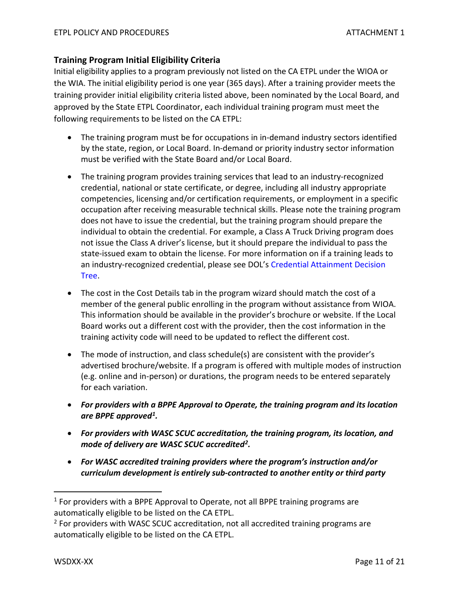## <span id="page-10-0"></span>**Training Program Initial Eligibility Criteria**

Initial eligibility applies to a program previously not listed on the CA ETPL under the WIOA or the WIA. The initial eligibility period is one year (365 days). After a training provider meets the training provider initial eligibility criteria listed above, been nominated by the Local Board, and approved by the State ETPL Coordinator, each individual training program must meet the following requirements to be listed on the CA ETPL:

- The training program must be for occupations in in-demand industry sectors identified by the state, region, or Local Board. In-demand or priority industry sector information must be verified with the State Board and/or Local Board.
- The training program provides training services that lead to an industry-recognized credential, national or state certificate, or degree, including all industry appropriate competencies, licensing and/or certification requirements, or employment in a specific occupation after receiving measurable technical skills. Please note the training program does not have to issue the credential, but the training program should prepare the individual to obtain the credential. For example, a Class A Truck Driving program does not issue the Class A driver's license, but it should prepare the individual to pass the state-issued exam to obtain the license. For more information on if a training leads to an industry-recognized credential, please see DOL's [Credential Attainment Decision](https://wioacredentialtool.safalapps.com/)  [Tree.](https://wioacredentialtool.safalapps.com/)
- The cost in the Cost Details tab in the program wizard should match the cost of a member of the general public enrolling in the program without assistance from WIOA. This information should be available in the provider's brochure or website. If the Local Board works out a different cost with the provider, then the cost information in the training activity code will need to be updated to reflect the different cost.
- The mode of instruction, and class schedule(s) are consistent with the provider's advertised brochure/website. If a program is offered with multiple modes of instruction (e.g. online and in-person) or durations, the program needs to be entered separately for each variation.
- *For providers with a BPPE Approval to Operate, the training program and its location are BPPE approved[1](#page-10-1).*
- *For providers with WASC SCUC accreditation, the training program, its location, and mode of delivery are WASC SCUC accredited[2.](#page-10-2)*
- *For WASC accredited training providers where the program's instruction and/or curriculum development is entirely sub-contracted to another entity or third party*

<span id="page-10-1"></span><sup>&</sup>lt;sup>1</sup> For providers with a BPPE Approval to Operate, not all BPPE training programs are automatically eligible to be listed on the CA ETPL.

<span id="page-10-2"></span><sup>&</sup>lt;sup>2</sup> For providers with WASC SCUC accreditation, not all accredited training programs are automatically eligible to be listed on the CA ETPL.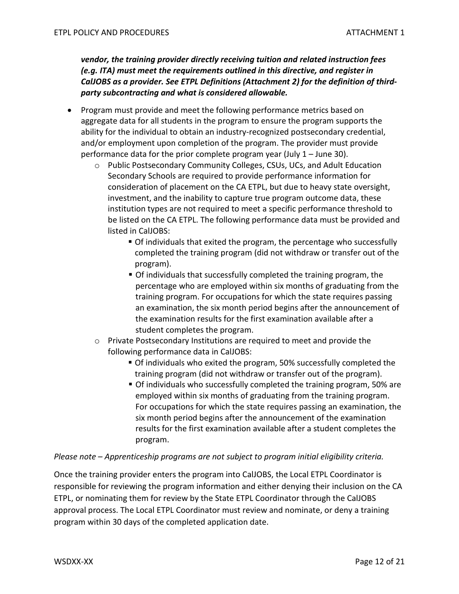*vendor, the training provider directly receiving tuition and related instruction fees (e.g. ITA) must meet the requirements outlined in this directive, and register in CalJOBS as a provider. See ETPL Definitions (Attachment 2) for the definition of thirdparty subcontracting and what is considered allowable.* 

- Program must provide and meet the following performance metrics based on aggregate data for all students in the program to ensure the program supports the ability for the individual to obtain an industry-recognized postsecondary credential, and/or employment upon completion of the program. The provider must provide performance data for the prior complete program year (July 1 – June 30).
	- o Public Postsecondary Community Colleges, CSUs, UCs, and Adult Education Secondary Schools are required to provide performance information for consideration of placement on the CA ETPL, but due to heavy state oversight, investment, and the inability to capture true program outcome data, these institution types are not required to meet a specific performance threshold to be listed on the CA ETPL. The following performance data must be provided and listed in CalJOBS:
		- Of individuals that exited the program, the percentage who successfully completed the training program (did not withdraw or transfer out of the program).
		- Of individuals that successfully completed the training program, the percentage who are employed within six months of graduating from the training program. For occupations for which the state requires passing an examination, the six month period begins after the announcement of the examination results for the first examination available after a student completes the program.
	- o Private Postsecondary Institutions are required to meet and provide the following performance data in CalJOBS:
		- Of individuals who exited the program, 50% successfully completed the training program (did not withdraw or transfer out of the program).
		- Of individuals who successfully completed the training program, 50% are employed within six months of graduating from the training program. For occupations for which the state requires passing an examination, the six month period begins after the announcement of the examination results for the first examination available after a student completes the program.

#### *Please note – Apprenticeship programs are not subject to program initial eligibility criteria.*

Once the training provider enters the program into CalJOBS, the Local ETPL Coordinator is responsible for reviewing the program information and either denying their inclusion on the CA ETPL, or nominating them for review by the State ETPL Coordinator through the CalJOBS approval process. The Local ETPL Coordinator must review and nominate, or deny a training program within 30 days of the completed application date.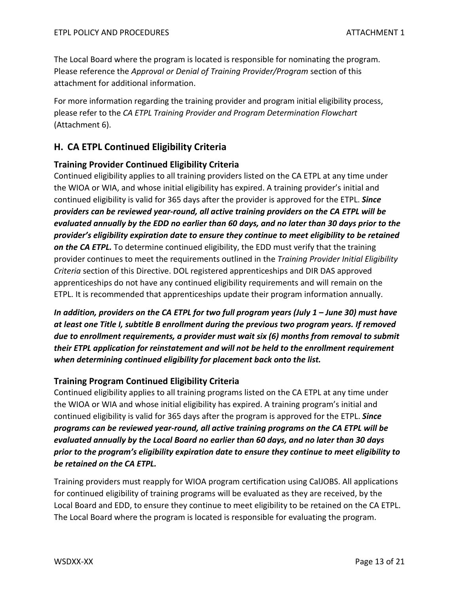The Local Board where the program is located is responsible for nominating the program. Please reference the *Approval or Denial of Training Provider/Program* section of this attachment for additional information.

For more information regarding the training provider and program initial eligibility process, please refer to the *CA ETPL Training Provider and Program Determination Flowchart* (Attachment 6).

# <span id="page-12-0"></span>**H. CA ETPL Continued Eligibility Criteria**

## <span id="page-12-1"></span>**Training Provider Continued Eligibility Criteria**

Continued eligibility applies to all training providers listed on the CA ETPL at any time under the WIOA or WIA, and whose initial eligibility has expired. A training provider's initial and continued eligibility is valid for 365 days after the provider is approved for the ETPL. *Since providers can be reviewed year-round, all active training providers on the CA ETPL will be evaluated annually by the EDD no earlier than 60 days, and no later than 30 days prior to the provider's eligibility expiration date to ensure they continue to meet eligibility to be retained on the CA ETPL.* To determine continued eligibility, the EDD must verify that the training provider continues to meet the requirements outlined in the *Training Provider Initial Eligibility Criteria* section of this Directive. DOL registered apprenticeships and DIR DAS approved apprenticeships do not have any continued eligibility requirements and will remain on the ETPL. It is recommended that apprenticeships update their program information annually.

*In addition, providers on the CA ETPL for two full program years (July 1 – June 30) must have at least one Title I, subtitle B enrollment during the previous two program years. If removed due to enrollment requirements, a provider must wait six (6) months from removal to submit their ETPL application for reinstatement and will not be held to the enrollment requirement when determining continued eligibility for placement back onto the list.*

## <span id="page-12-2"></span>**Training Program Continued Eligibility Criteria**

Continued eligibility applies to all training programs listed on the CA ETPL at any time under the WIOA or WIA and whose initial eligibility has expired. A training program's initial and continued eligibility is valid for 365 days after the program is approved for the ETPL. *Since programs can be reviewed year-round, all active training programs on the CA ETPL will be evaluated annually by the Local Board no earlier than 60 days, and no later than 30 days prior to the program's eligibility expiration date to ensure they continue to meet eligibility to be retained on the CA ETPL.*

Training providers must reapply for WIOA program certification using CalJOBS. All applications for continued eligibility of training programs will be evaluated as they are received, by the Local Board and EDD, to ensure they continue to meet eligibility to be retained on the CA ETPL. The Local Board where the program is located is responsible for evaluating the program.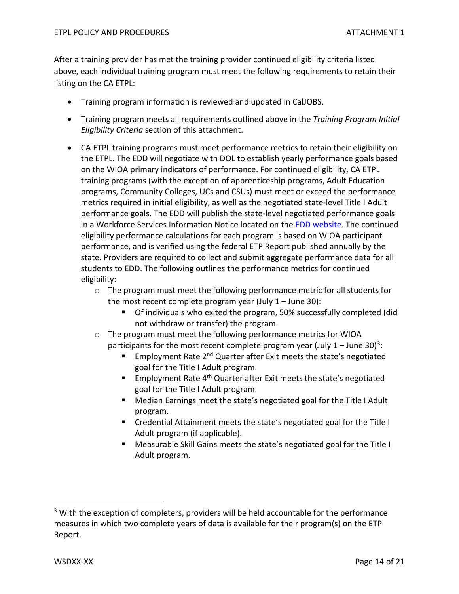After a training provider has met the training provider continued eligibility criteria listed above, each individual training program must meet the following requirements to retain their listing on the CA ETPL:

- Training program information is reviewed and updated in CalJOBS.
- Training program meets all requirements outlined above in the *Training Program Initial Eligibility Criteria* section of this attachment.
- CA ETPL training programs must meet performance metrics to retain their eligibility on the ETPL. The EDD will negotiate with DOL to establish yearly performance goals based on the WIOA primary indicators of performance. For continued eligibility, CA ETPL training programs (with the exception of apprenticeship programs, Adult Education programs, Community Colleges, UCs and CSUs) must meet or exceed the performance metrics required in initial eligibility, as well as the negotiated state-level Title I Adult performance goals. The EDD will publish the state-level negotiated performance goals in a Workforce Services Information Notice located on the [EDD website.](http://www.edd.ca.gov/) The continued eligibility performance calculations for each program is based on WIOA participant performance, and is verified using the federal ETP Report published annually by the state. Providers are required to collect and submit aggregate performance data for all students to EDD. The following outlines the performance metrics for continued eligibility:
	- $\circ$  The program must meet the following performance metric for all students for the most recent complete program year (July  $1 -$  June 30):
		- Of individuals who exited the program, 50% successfully completed (did not withdraw or transfer) the program.
	- o The program must meet the following performance metrics for WIOA participants for the most recent complete program year (July  $1 -$  June [3](#page-13-0)0)<sup>3</sup>:
		- **Employment Rate 2<sup>nd</sup> Quarter after Exit meets the state's negotiated** goal for the Title I Adult program.
		- Employment Rate 4<sup>th</sup> Quarter after Exit meets the state's negotiated goal for the Title I Adult program.
		- Median Earnings meet the state's negotiated goal for the Title I Adult program.
		- **EXTER** Credential Attainment meets the state's negotiated goal for the Title I Adult program (if applicable).
		- Measurable Skill Gains meets the state's negotiated goal for the Title I Adult program.

<span id="page-13-0"></span><sup>&</sup>lt;sup>3</sup> With the exception of completers, providers will be held accountable for the performance measures in which two complete years of data is available for their program(s) on the ETP Report.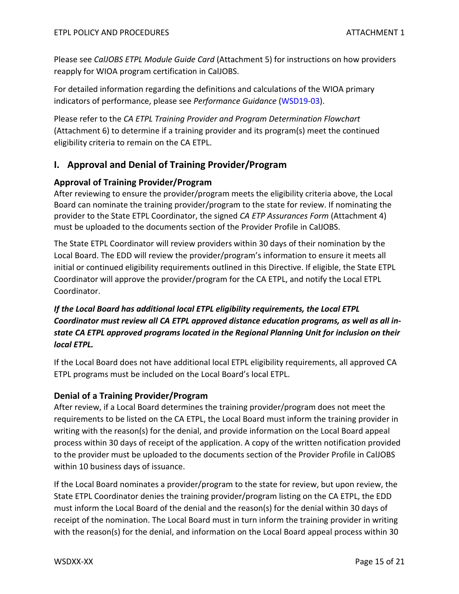Please see *CalJOBS ETPL Module Guide Card* (Attachment 5) for instructions on how providers reapply for WIOA program certification in CalJOBS.

For detailed information regarding the definitions and calculations of the WIOA primary indicators of performance, please see *Performance Guidance* [\(WSD19-03\)](https://www.edd.ca.gov/jobs_and_training/Active_Directives.htm).

Please refer to the *CA ETPL Training Provider and Program Determination Flowchart*  (Attachment 6) to determine if a training provider and its program(s) meet the continued eligibility criteria to remain on the CA ETPL.

# <span id="page-14-0"></span>**I. Approval and Denial of Training Provider/Program**

## <span id="page-14-1"></span>**Approval of Training Provider/Program**

After reviewing to ensure the provider/program meets the eligibility criteria above, the Local Board can nominate the training provider/program to the state for review. If nominating the provider to the State ETPL Coordinator, the signed *CA ETP Assurances Form* (Attachment 4) must be uploaded to the documents section of the Provider Profile in CalJOBS.

The State ETPL Coordinator will review providers within 30 days of their nomination by the Local Board. The EDD will review the provider/program's information to ensure it meets all initial or continued eligibility requirements outlined in this Directive. If eligible, the State ETPL Coordinator will approve the provider/program for the CA ETPL, and notify the Local ETPL Coordinator.

# *If the Local Board has additional local ETPL eligibility requirements, the Local ETPL Coordinator must review all CA ETPL approved distance education programs, as well as all instate CA ETPL approved programs located in the Regional Planning Unit for inclusion on their local ETPL.*

If the Local Board does not have additional local ETPL eligibility requirements, all approved CA ETPL programs must be included on the Local Board's local ETPL.

## <span id="page-14-2"></span>**Denial of a Training Provider/Program**

After review, if a Local Board determines the training provider/program does not meet the requirements to be listed on the CA ETPL, the Local Board must inform the training provider in writing with the reason(s) for the denial, and provide information on the Local Board appeal process within 30 days of receipt of the application. A copy of the written notification provided to the provider must be uploaded to the documents section of the Provider Profile in CalJOBS within 10 business days of issuance.

If the Local Board nominates a provider/program to the state for review, but upon review, the State ETPL Coordinator denies the training provider/program listing on the CA ETPL, the EDD must inform the Local Board of the denial and the reason(s) for the denial within 30 days of receipt of the nomination. The Local Board must in turn inform the training provider in writing with the reason(s) for the denial, and information on the Local Board appeal process within 30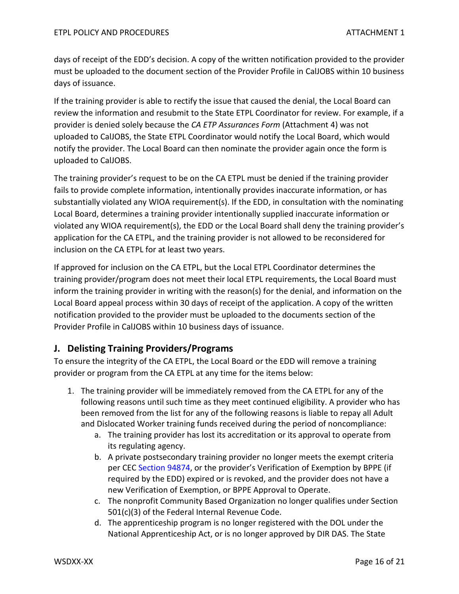days of receipt of the EDD's decision. A copy of the written notification provided to the provider must be uploaded to the document section of the Provider Profile in CalJOBS within 10 business days of issuance.

If the training provider is able to rectify the issue that caused the denial, the Local Board can review the information and resubmit to the State ETPL Coordinator for review. For example, if a provider is denied solely because the *CA ETP Assurances Form* (Attachment 4) was not uploaded to CalJOBS, the State ETPL Coordinator would notify the Local Board, which would notify the provider. The Local Board can then nominate the provider again once the form is uploaded to CalJOBS.

The training provider's request to be on the CA ETPL must be denied if the training provider fails to provide complete information, intentionally provides inaccurate information, or has substantially violated any WIOA requirement(s). If the EDD, in consultation with the nominating Local Board, determines a training provider intentionally supplied inaccurate information or violated any WIOA requirement(s), the EDD or the Local Board shall deny the training provider's application for the CA ETPL, and the training provider is not allowed to be reconsidered for inclusion on the CA ETPL for at least two years.

If approved for inclusion on the CA ETPL, but the Local ETPL Coordinator determines the training provider/program does not meet their local ETPL requirements, the Local Board must inform the training provider in writing with the reason(s) for the denial, and information on the Local Board appeal process within 30 days of receipt of the application. A copy of the written notification provided to the provider must be uploaded to the documents section of the Provider Profile in CalJOBS within 10 business days of issuance.

# <span id="page-15-0"></span>**J. Delisting Training Providers/Programs**

To ensure the integrity of the CA ETPL, the Local Board or the EDD will remove a training provider or program from the CA ETPL at any time for the items below:

- 1. The training provider will be immediately removed from the CA ETPL for any of the following reasons until such time as they meet continued eligibility. A provider who has been removed from the list for any of the following reasons is liable to repay all Adult and Dislocated Worker training funds received during the period of noncompliance:
	- a. The training provider has lost its accreditation or its approval to operate from its regulating agency.
	- b. A private postsecondary training provider no longer meets the exempt criteria per CEC [Section 94874,](https://leginfo.legislature.ca.gov/faces/codes_displaySection.xhtml?sectionNum=94874.&lawCode=EDC) or the provider's Verification of Exemption by BPPE (if required by the EDD) expired or is revoked, and the provider does not have a new Verification of Exemption, or BPPE Approval to Operate.
	- c. The nonprofit Community Based Organization no longer qualifies under Section 501(c)(3) of the Federal Internal Revenue Code.
	- d. The apprenticeship program is no longer registered with the DOL under the National Apprenticeship Act, or is no longer approved by DIR DAS. The State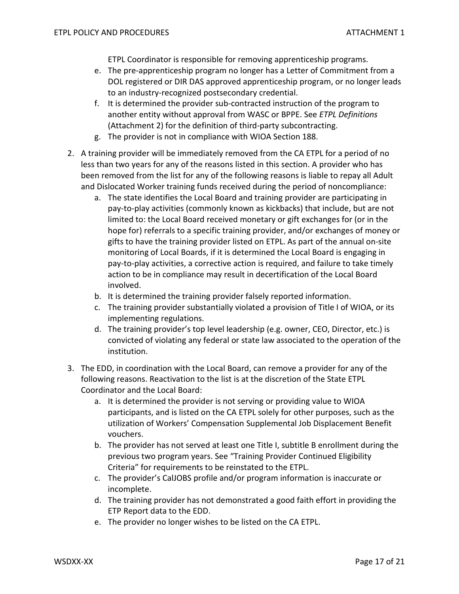ETPL Coordinator is responsible for removing apprenticeship programs.

- e. The pre-apprenticeship program no longer has a Letter of Commitment from a DOL registered or DIR DAS approved apprenticeship program, or no longer leads to an industry-recognized postsecondary credential.
- f. It is determined the provider sub-contracted instruction of the program to another entity without approval from WASC or BPPE. See *ETPL Definitions* (Attachment 2) for the definition of third-party subcontracting.
- g. The provider is not in compliance with WIOA Section 188.
- 2. A training provider will be immediately removed from the CA ETPL for a period of no less than two years for any of the reasons listed in this section. A provider who has been removed from the list for any of the following reasons is liable to repay all Adult and Dislocated Worker training funds received during the period of noncompliance:
	- a. The state identifies the Local Board and training provider are participating in pay-to-play activities (commonly known as kickbacks) that include, but are not limited to: the Local Board received monetary or gift exchanges for (or in the hope for) referrals to a specific training provider, and/or exchanges of money or gifts to have the training provider listed on ETPL. As part of the annual on-site monitoring of Local Boards, if it is determined the Local Board is engaging in pay-to-play activities, a corrective action is required, and failure to take timely action to be in compliance may result in decertification of the Local Board involved.
	- b. It is determined the training provider falsely reported information.
	- c. The training provider substantially violated a provision of Title I of WIOA, or its implementing regulations.
	- d. The training provider's top level leadership (e.g. owner, CEO, Director, etc.) is convicted of violating any federal or state law associated to the operation of the institution.
- 3. The EDD, in coordination with the Local Board, can remove a provider for any of the following reasons. Reactivation to the list is at the discretion of the State ETPL Coordinator and the Local Board:
	- a. It is determined the provider is not serving or providing value to WIOA participants, and is listed on the CA ETPL solely for other purposes, such as the utilization of Workers' Compensation Supplemental Job Displacement Benefit vouchers.
	- b. The provider has not served at least one Title I, subtitle B enrollment during the previous two program years. See "Training Provider Continued Eligibility Criteria" for requirements to be reinstated to the ETPL.
	- c. The provider's CalJOBS profile and/or program information is inaccurate or incomplete.
	- d. The training provider has not demonstrated a good faith effort in providing the ETP Report data to the EDD.
	- e. The provider no longer wishes to be listed on the CA ETPL.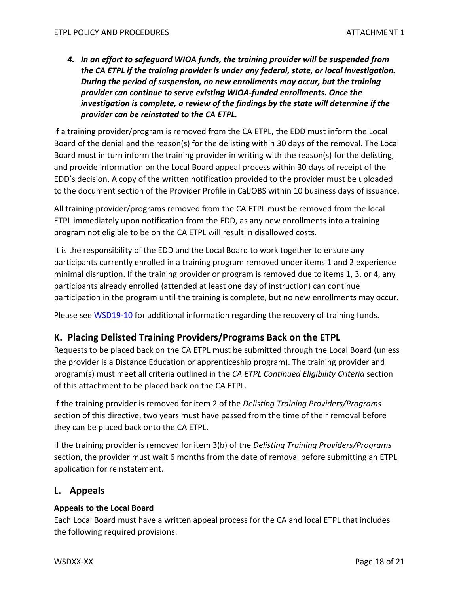*4. In an effort to safeguard WIOA funds, the training provider will be suspended from the CA ETPL if the training provider is under any federal, state, or local investigation. During the period of suspension, no new enrollments may occur, but the training provider can continue to serve existing WIOA-funded enrollments. Once the investigation is complete, a review of the findings by the state will determine if the provider can be reinstated to the CA ETPL.*

If a training provider/program is removed from the CA ETPL, the EDD must inform the Local Board of the denial and the reason(s) for the delisting within 30 days of the removal. The Local Board must in turn inform the training provider in writing with the reason(s) for the delisting, and provide information on the Local Board appeal process within 30 days of receipt of the EDD's decision. A copy of the written notification provided to the provider must be uploaded to the document section of the Provider Profile in CalJOBS within 10 business days of issuance.

All training provider/programs removed from the CA ETPL must be removed from the local ETPL immediately upon notification from the EDD, as any new enrollments into a training program not eligible to be on the CA ETPL will result in disallowed costs.

It is the responsibility of the EDD and the Local Board to work together to ensure any participants currently enrolled in a training program removed under items 1 and 2 experience minimal disruption. If the training provider or program is removed due to items 1, 3, or 4, any participants already enrolled (attended at least one day of instruction) can continue participation in the program until the training is complete, but no new enrollments may occur.

Please see [WSD19-10](https://www.edd.ca.gov/jobs_and_training/Active_Directives.htm) for additional information regarding the recovery of training funds.

## <span id="page-17-0"></span>**K. Placing Delisted Training Providers/Programs Back on the ETPL**

Requests to be placed back on the CA ETPL must be submitted through the Local Board (unless the provider is a Distance Education or apprenticeship program). The training provider and program(s) must meet all criteria outlined in the *CA ETPL Continued Eligibility Criteria* section of this attachment to be placed back on the CA ETPL.

If the training provider is removed for item 2 of the *Delisting Training Providers/Programs* section of this directive, two years must have passed from the time of their removal before they can be placed back onto the CA ETPL.

If the training provider is removed for item 3(b) of the *Delisting Training Providers/Programs* section, the provider must wait 6 months from the date of removal before submitting an ETPL application for reinstatement.

#### <span id="page-17-1"></span>**L. Appeals**

#### **Appeals to the Local Board**

Each Local Board must have a written appeal process for the CA and local ETPL that includes the following required provisions: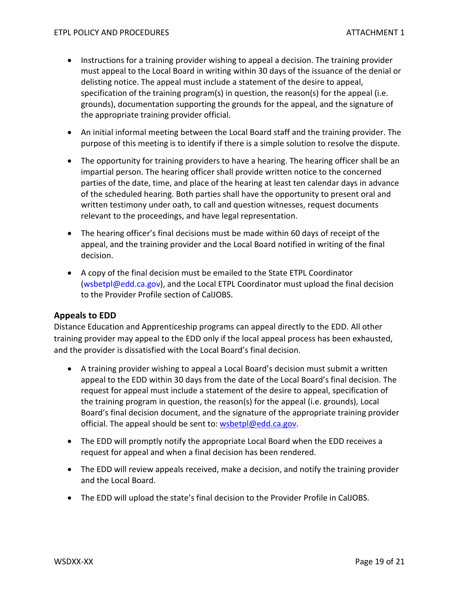- Instructions for a training provider wishing to appeal a decision. The training provider must appeal to the Local Board in writing within 30 days of the issuance of the denial or delisting notice. The appeal must include a statement of the desire to appeal, specification of the training program(s) in question, the reason(s) for the appeal (i.e. grounds), documentation supporting the grounds for the appeal, and the signature of the appropriate training provider official.
- An initial informal meeting between the Local Board staff and the training provider. The purpose of this meeting is to identify if there is a simple solution to resolve the dispute.
- The opportunity for training providers to have a hearing. The hearing officer shall be an impartial person. The hearing officer shall provide written notice to the concerned parties of the date, time, and place of the hearing at least ten calendar days in advance of the scheduled hearing. Both parties shall have the opportunity to present oral and written testimony under oath, to call and question witnesses, request documents relevant to the proceedings, and have legal representation.
- The hearing officer's final decisions must be made within 60 days of receipt of the appeal, and the training provider and the Local Board notified in writing of the final decision.
- A copy of the final decision must be emailed to the State ETPL Coordinator [\(wsbetpl@edd.ca.gov\)](mailto:wsbetpl@edd.ca.gov), and the Local ETPL Coordinator must upload the final decision to the Provider Profile section of CalJOBS.

#### <span id="page-18-0"></span>**Appeals to EDD**

Distance Education and Apprenticeship programs can appeal directly to the EDD. All other training provider may appeal to the EDD only if the local appeal process has been exhausted, and the provider is dissatisfied with the Local Board's final decision.

- A training provider wishing to appeal a Local Board's decision must submit a written appeal to the EDD within 30 days from the date of the Local Board's final decision. The request for appeal must include a statement of the desire to appeal, specification of the training program in question, the reason(s) for the appeal (i.e. grounds), Local Board's final decision document, and the signature of the appropriate training provider official. The appeal should be sent to: [wsbetpl@edd.ca.gov.](mailto:wsbetpl@edd.ca.gov)
- The EDD will promptly notify the appropriate Local Board when the EDD receives a request for appeal and when a final decision has been rendered.
- The EDD will review appeals received, make a decision, and notify the training provider and the Local Board.
- The EDD will upload the state's final decision to the Provider Profile in CalJOBS.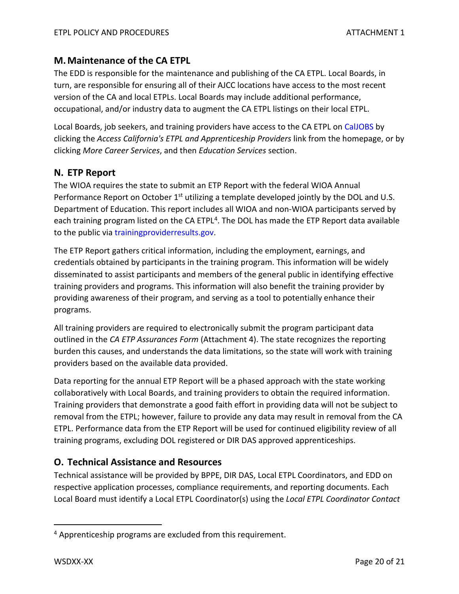# <span id="page-19-0"></span>**M.Maintenance of the CA ETPL**

The EDD is responsible for the maintenance and publishing of the CA ETPL. Local Boards, in turn, are responsible for ensuring all of their AJCC locations have access to the most recent version of the CA and local ETPLs. Local Boards may include additional performance, occupational, and/or industry data to augment the CA ETPL listings on their local ETPL.

Local Boards, job seekers, and training providers have access to the CA ETPL o[n CalJOBS](http://www.caljobs.ca.gov/) by clicking the *Access California's ETPL and Apprenticeship Providers* link from the homepage, or by clicking *More Career Services*, and then *Education Services* section.

## <span id="page-19-1"></span>**N. ETP Report**

The WIOA requires the state to submit an ETP Report with the federal WIOA Annual Performance Report on October 1<sup>st</sup> utilizing a template developed jointly by the DOL and U.S. Department of Education. This report includes all WIOA and non-WIOA participants served by each training program listed on the CA ETPL<sup>[4](#page-19-3)</sup>. The DOL has made the ETP Report data available to the public via [trainingproviderresults.gov.](https://www.trainingproviderresults.gov/#!/)

The ETP Report gathers critical information, including the employment, earnings, and credentials obtained by participants in the training program. This information will be widely disseminated to assist participants and members of the general public in identifying effective training providers and programs. This information will also benefit the training provider by providing awareness of their program, and serving as a tool to potentially enhance their programs.

All training providers are required to electronically submit the program participant data outlined in the *CA ETP Assurances Form* (Attachment 4). The state recognizes the reporting burden this causes, and understands the data limitations, so the state will work with training providers based on the available data provided.

Data reporting for the annual ETP Report will be a phased approach with the state working collaboratively with Local Boards, and training providers to obtain the required information. Training providers that demonstrate a good faith effort in providing data will not be subject to removal from the ETPL; however, failure to provide any data may result in removal from the CA ETPL. Performance data from the ETP Report will be used for continued eligibility review of all training programs, excluding DOL registered or DIR DAS approved apprenticeships.

# <span id="page-19-2"></span>**O. Technical Assistance and Resources**

Technical assistance will be provided by BPPE, DIR DAS, Local ETPL Coordinators, and EDD on respective application processes, compliance requirements, and reporting documents. Each Local Board must identify a Local ETPL Coordinator(s) using the *Local ETPL Coordinator Contact* 

<span id="page-19-3"></span><sup>&</sup>lt;sup>4</sup> Apprenticeship programs are excluded from this requirement.